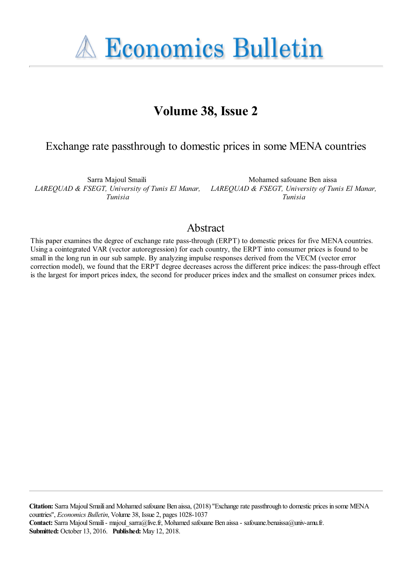**A Economics Bulletin** 

# **Volume 38, Issue 2**

# Exchange rate passthrough to domestic prices in some MENA countries

Sarra Majoul Smaili *LAREQUAD & FSEGT, University of Tunis El Manar, Tunisia*

Mohamed safouane Ben aissa *LAREQUAD & FSEGT, University of Tunis El Manar, Tunisia*

# Abstract

This paper examines the degree of exchange rate pass-through (ERPT) to domestic prices for five MENA countries. Using a cointegrated VAR (vector autoregression) for each country, the ERPT into consumer prices is found to be small in the long run in our sub sample. By analyzing impulse responses derived from the VECM (vector error correction model), we found that the ERPT degree decreases across the different price indices: the pass-through effect is the largest for import prices index, the second for producer prices index and the smallest on consumer prices index.

**Citation:** Sarra Majoul Smaili and Mohamed safouane Ben aissa, (2018) ''Exchange rate passthrough to domestic prices in some MENA countries'', *Economics Bulletin*, Volume 38, Issue 2, pages 1028-1037 **Contact:** Sarra Majoul Smaili - majoul\_sarra@live.fr, Mohamed safouane Ben aissa - safouane.benaissa@univ-amu.fr. **Submitted:** October 13, 2016. **Published:** May 12, 2018.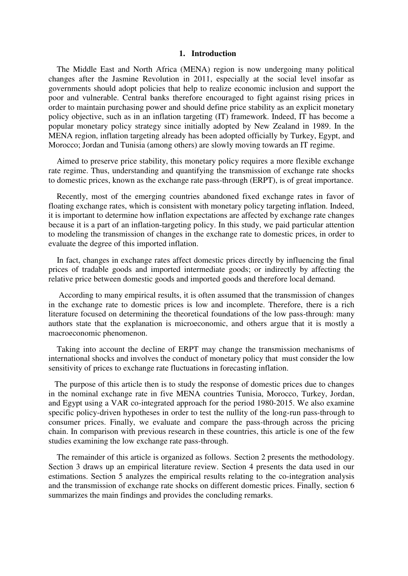### **1. Introduction**

 The Middle East and North Africa (MENA) region is now undergoing many political changes after the Jasmine Revolution in 2011, especially at the social level insofar as governments should adopt policies that help to realize economic inclusion and support the poor and vulnerable. Central banks therefore encouraged to fight against rising prices in order to maintain purchasing power and should define price stability as an explicit monetary policy objective, such as in an inflation targeting (IT) framework. Indeed, IT has become a popular monetary policy strategy since initially adopted by New Zealand in 1989. In the MENA region, inflation targeting already has been adopted officially by Turkey, Egypt, and Morocco; Jordan and Tunisia (among others) are slowly moving towards an IT regime.

 Aimed to preserve price stability, this monetary policy requires a more flexible exchange rate regime. Thus, understanding and quantifying the transmission of exchange rate shocks to domestic prices, known as the exchange rate pass-through (ERPT), is of great importance.

 Recently, most of the emerging countries abandoned fixed exchange rates in favor of floating exchange rates, which is consistent with monetary policy targeting inflation. Indeed, it is important to determine how inflation expectations are affected by exchange rate changes because it is a part of an inflation-targeting policy. In this study, we paid particular attention to modeling the transmission of changes in the exchange rate to domestic prices, in order to evaluate the degree of this imported inflation.

 In fact, changes in exchange rates affect domestic prices directly by influencing the final prices of tradable goods and imported intermediate goods; or indirectly by affecting the relative price between domestic goods and imported goods and therefore local demand.

 According to many empirical results, it is often assumed that the transmission of changes in the exchange rate to domestic prices is low and incomplete. Therefore, there is a rich literature focused on determining the theoretical foundations of the low pass-through: many authors state that the explanation is microeconomic, and others argue that it is mostly a macroeconomic phenomenon.

 Taking into account the decline of ERPT may change the transmission mechanisms of international shocks and involves the conduct of monetary policy that must consider the low sensitivity of prices to exchange rate fluctuations in forecasting inflation.

 The purpose of this article then is to study the response of domestic prices due to changes in the nominal exchange rate in five MENA countries Tunisia, Morocco, Turkey, Jordan, and Egypt using a VAR co-integrated approach for the period 1980-2015. We also examine specific policy-driven hypotheses in order to test the nullity of the long-run pass-through to consumer prices. Finally, we evaluate and compare the pass-through across the pricing chain. In comparison with previous research in these countries, this article is one of the few studies examining the low exchange rate pass-through.

 The remainder of this article is organized as follows. Section 2 presents the methodology. Section 3 draws up an empirical literature review. Section 4 presents the data used in our estimations. Section 5 analyzes the empirical results relating to the co-integration analysis and the transmission of exchange rate shocks on different domestic prices. Finally, section 6 summarizes the main findings and provides the concluding remarks.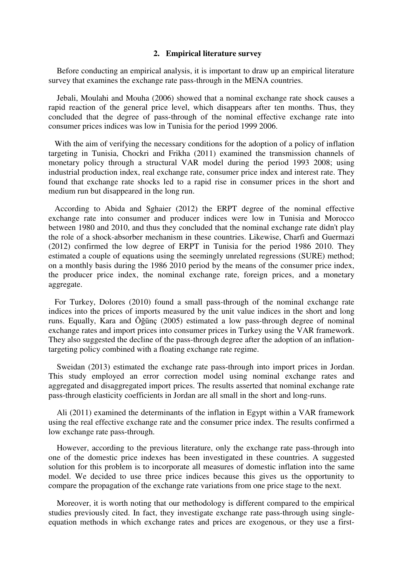### **2. Empirical literature survey**

 Before conducting an empirical analysis, it is important to draw up an empirical literature survey that examines the exchange rate pass-through in the MENA countries.

 Jebali, Moulahi and Mouha (2006) showed that a nominal exchange rate shock causes a rapid reaction of the general price level, which disappears after ten months. Thus, they concluded that the degree of pass-through of the nominal effective exchange rate into consumer prices indices was low in Tunisia for the period 1999 2006.

 With the aim of verifying the necessary conditions for the adoption of a policy of inflation targeting in Tunisia, Chockri and Frikha (2011) examined the transmission channels of monetary policy through a structural VAR model during the period 1993 2008; using industrial production index, real exchange rate, consumer price index and interest rate. They found that exchange rate shocks led to a rapid rise in consumer prices in the short and medium run but disappeared in the long run.

 According to Abida and Sghaier (2012) the ERPT degree of the nominal effective exchange rate into consumer and producer indices were low in Tunisia and Morocco between 1980 and 2010, and thus they concluded that the nominal exchange rate didn't play the role of a shock-absorber mechanism in these countries. Likewise, Charfi and Guermazi (2012) confirmed the low degree of ERPT in Tunisia for the period 1986 2010. They estimated a couple of equations using the seemingly unrelated regressions (SURE) method; on a monthly basis during the 1986 2010 period by the means of the consumer price index, the producer price index, the nominal exchange rate, foreign prices, and a monetary aggregate.

 For Turkey, Dolores (2010) found a small pass-through of the nominal exchange rate indices into the prices of imports measured by the unit value indices in the short and long runs. Equally, Kara and Öğünç (2005) estimated a low pass-through degree of nominal exchange rates and import prices into consumer prices in Turkey using the VAR framework. They also suggested the decline of the pass-through degree after the adoption of an inflationtargeting policy combined with a floating exchange rate regime.

 Sweidan (2013) estimated the exchange rate pass-through into import prices in Jordan. This study employed an error correction model using nominal exchange rates and aggregated and disaggregated import prices. The results asserted that nominal exchange rate pass-through elasticity coefficients in Jordan are all small in the short and long-runs.

 Ali (2011) examined the determinants of the inflation in Egypt within a VAR framework using the real effective exchange rate and the consumer price index. The results confirmed a low exchange rate pass-through.

 However, according to the previous literature, only the exchange rate pass-through into one of the domestic price indexes has been investigated in these countries. A suggested solution for this problem is to incorporate all measures of domestic inflation into the same model. We decided to use three price indices because this gives us the opportunity to compare the propagation of the exchange rate variations from one price stage to the next.

 Moreover, it is worth noting that our methodology is different compared to the empirical studies previously cited. In fact, they investigate exchange rate pass-through using singleequation methods in which exchange rates and prices are exogenous, or they use a first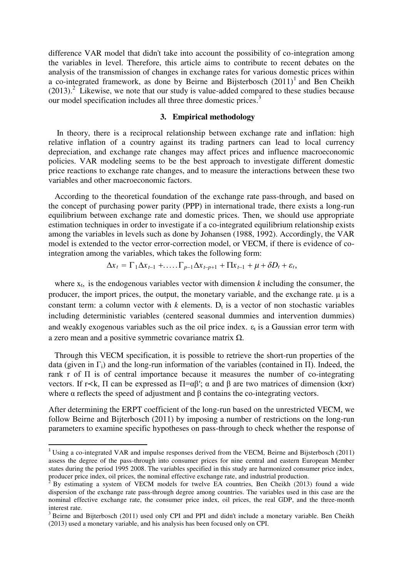difference VAR model that didn't take into account the possibility of co-integration among the variables in level. Therefore, this article aims to contribute to recent debates on the analysis of the transmission of changes in exchange rates for various domestic prices within a co-integrated framework, as done by Beirne and Bijsterbosch  $(2011)^1$  and Ben Cheikh  $(2013).$ <sup>2</sup> Likewise, we note that our study is value-added compared to these studies because our model specification includes all three three domestic prices.<sup>3</sup>

## **3. Empirical methodology**

In theory, there is a reciprocal relationship between exchange rate and inflation: high relative inflation of a country against its trading partners can lead to local currency depreciation, and exchange rate changes may affect prices and influence macroeconomic policies. VAR modeling seems to be the best approach to investigate different domestic price reactions to exchange rate changes, and to measure the interactions between these two variables and other macroeconomic factors.

 According to the theoretical foundation of the exchange rate pass-through, and based on the concept of purchasing power parity (PPP) in international trade, there exists a long-run equilibrium between exchange rate and domestic prices. Then, we should use appropriate estimation techniques in order to investigate if a co-integrated equilibrium relationship exists among the variables in levels such as done by Johansen (1988, 1992). Accordingly, the VAR model is extended to the vector error-correction model, or VECM, if there is evidence of cointegration among the variables, which takes the following form:

$$
\Delta x_t = \Gamma_1 \Delta x_{t-1} + \ldots + \Gamma_{p-1} \Delta x_{t-p+1} + \Pi x_{t-1} + \mu + \delta D_t + \varepsilon_t,
$$

where  $x_t$ , is the endogenous variables vector with dimension  $k$  including the consumer, the producer, the import prices, the output, the monetary variable, and the exchange rate.  $\mu$  is a constant term: a column vector with  $k$  elements.  $D_t$  is a vector of non stochastic variables including deterministic variables (centered seasonal dummies and intervention dummies) and weakly exogenous variables such as the oil price index.  $\varepsilon_t$  is a Gaussian error term with a zero mean and a positive symmetric covariance matrix Ω.

 Through this VECM specification, it is possible to retrieve the short-run properties of the data (given in  $\Gamma_i$ ) and the long-run information of the variables (contained in  $\Pi$ ). Indeed, the rank r of  $\Pi$  is of central importance because it measures the number of co-integrating vectors. If  $r\prec k$ , Π can be expressed as  $\Pi = \alpha\beta'$ ; α and β are two matrices of dimension (k×r) where α reflects the speed of adjustment and β contains the co-integrating vectors.

After determining the ERPT coefficient of the long-run based on the unrestricted VECM, we follow Beirne and Bijterbosch (2011) by imposing a number of restrictions on the long-run parameters to examine specific hypotheses on pass-through to check whether the response of

<sup>&</sup>lt;sup>1</sup> Using a co-integrated VAR and impulse responses derived from the VECM, Beirne and Bijsterbosch (2011) assess the degree of the pass-through into consumer prices for nine central and eastern European Member states during the period 1995 2008. The variables specified in this study are harmonized consumer price index, producer price index, oil prices, the nominal effective exchange rate, and industrial production.

 $\overline{2}$  By estimating a system of VECM models for twelve EA countries, Ben Cheikh (2013) found a wide dispersion of the exchange rate pass-through degree among countries. The variables used in this case are the nominal effective exchange rate, the consumer price index, oil prices, the real GDP, and the three-month interest rate.

<sup>&</sup>lt;sup>3</sup> Beirne and Bijterbosch (2011) used only CPI and PPI and didn't include a monetary variable. Ben Cheikh (2013) used a monetary variable, and his analysis has been focused only on CPI.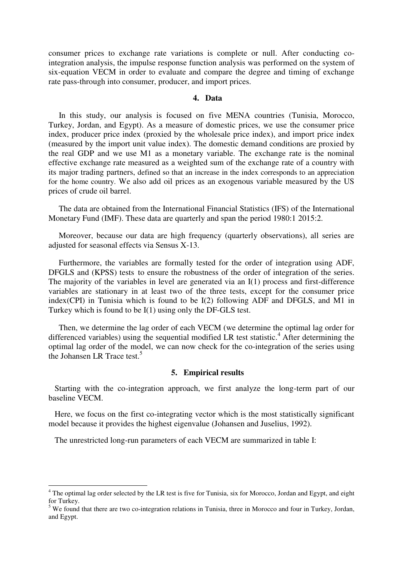consumer prices to exchange rate variations is complete or null. After conducting cointegration analysis, the impulse response function analysis was performed on the system of six-equation VECM in order to evaluate and compare the degree and timing of exchange rate pass-through into consumer, producer, and import prices.

#### **4. Data**

 In this study, our analysis is focused on five MENA countries (Tunisia, Morocco, Turkey, Jordan, and Egypt). As a measure of domestic prices, we use the consumer price index, producer price index (proxied by the wholesale price index), and import price index (measured by the import unit value index). The domestic demand conditions are proxied by the real GDP and we use M1 as a monetary variable. The exchange rate is the nominal effective exchange rate measured as a weighted sum of the exchange rate of a country with its major trading partners, defined so that an increase in the index corresponds to an appreciation for the home country. We also add oil prices as an exogenous variable measured by the US prices of crude oil barrel.

 The data are obtained from the International Financial Statistics (IFS) of the International Monetary Fund (IMF). These data are quarterly and span the period 1980:1 2015:2.

 Moreover, because our data are high frequency (quarterly observations), all series are adjusted for seasonal effects via Sensus X-13.

 Furthermore, the variables are formally tested for the order of integration using ADF, DFGLS and (KPSS) tests to ensure the robustness of the order of integration of the series. The majority of the variables in level are generated via an I(1) process and first-difference variables are stationary in at least two of the three tests, except for the consumer price index(CPI) in Tunisia which is found to be I(2) following ADF and DFGLS, and M1 in Turkey which is found to be I(1) using only the DF-GLS test.

 Then, we determine the lag order of each VECM (we determine the optimal lag order for differenced variables) using the sequential modified LR test statistic.<sup>4</sup> After determining the optimal lag order of the model, we can now check for the co-integration of the series using the Johansen LR Trace test.<sup>5</sup>

#### **5. Empirical results**

 Starting with the co-integration approach, we first analyze the long-term part of our baseline VECM.

 Here, we focus on the first co-integrating vector which is the most statistically significant model because it provides the highest eigenvalue (Johansen and Juselius, 1992).

The unrestricted long-run parameters of each VECM are summarized in table I:

<sup>&</sup>lt;sup>4</sup> The optimal lag order selected by the LR test is five for Tunisia, six for Morocco, Jordan and Egypt, and eight for Turkey.

 $<sup>5</sup>$  We found that there are two co-integration relations in Tunisia, three in Morocco and four in Turkey, Jordan,</sup> and Egypt.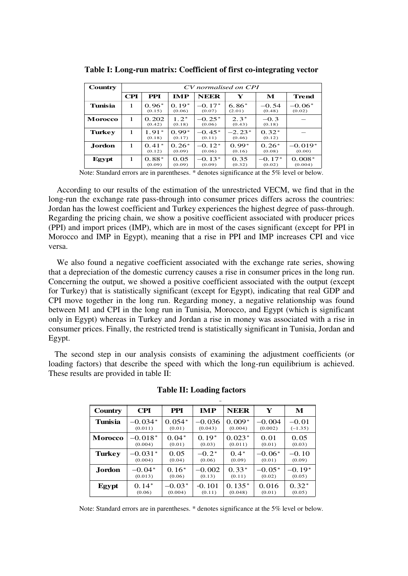| Country        | CV normalised on CPI |                   |                   |                    |                    |                    |                     |
|----------------|----------------------|-------------------|-------------------|--------------------|--------------------|--------------------|---------------------|
|                | <b>CPI</b>           | <b>PPI</b>        | <b>IMP</b>        | <b>NEER</b>        | Y                  | M                  | Trend               |
| <b>Tunisia</b> | 1                    | $0.96*$<br>(0.15) | $0.19*$<br>(0.06) | $-0.17*$<br>(0.07) | $6.86*$<br>(2.01)  | $-0.54$<br>(0.48)  | $-0.06*$<br>(0.02)  |
| <b>Morocco</b> | 1                    | 0.202<br>(0.42)   | $1.2*$<br>(0.18)  | $-0.25*$<br>(0.06) | $2.3*$<br>(0.43)   | $-0.3$<br>(0.18)   |                     |
| <b>Turkey</b>  | 1                    | $1.91*$<br>(0.18) | $0.99*$<br>(0.17) | $-0.45*$<br>(0.11) | $-2.23*$<br>(0.46) | $0.32*$<br>(0.12)  |                     |
| Jordon.        | 1                    | $0.41*$<br>(0.12) | $0.26*$<br>(0.09) | $-0.12*$<br>(0.06) | $0.99*$<br>(0.16)  | $0.26*$<br>(0.08)  | $-0.019*$<br>(0.00) |
| Egypt          | 1                    | $0.88*$<br>(0.09) | 0.05<br>(0.09)    | $-0.13*$<br>(0.09) | 0.35<br>(0.32)     | $-0.17*$<br>(0.02) | $0.008*$<br>(0.004) |

**Table I: Long-run matrix: Coefficient of first co-integrating vector** 

Note: Standard errors are in parentheses. \* denotes significance at the 5% level or below.

 According to our results of the estimation of the unrestricted VECM, we find that in the long-run the exchange rate pass-through into consumer prices differs across the countries: Jordan has the lowest coefficient and Turkey experiences the highest degree of pass-through. Regarding the pricing chain, we show a positive coefficient associated with producer prices (PPI) and import prices (IMP), which are in most of the cases significant (except for PPI in Morocco and IMP in Egypt), meaning that a rise in PPI and IMP increases CPI and vice versa.

 We also found a negative coefficient associated with the exchange rate series, showing that a depreciation of the domestic currency causes a rise in consumer prices in the long run. Concerning the output, we showed a positive coefficient associated with the output (except for Turkey) that is statistically significant (except for Egypt), indicating that real GDP and CPI move together in the long run. Regarding money, a negative relationship was found between M1 and CPI in the long run in Tunisia, Morocco, and Egypt (which is significant only in Egypt) whereas in Turkey and Jordan a rise in money was associated with a rise in consumer prices. Finally, the restricted trend is statistically significant in Tunisia, Jordan and Egypt.

 The second step in our analysis consists of examining the adjustment coefficients (or loading factors) that describe the speed with which the long-run equilibrium is achieved. These results are provided in table II:

| Country        | <b>CPI</b> | <b>PPI</b> | <b>IMP</b> | <b>NEER</b> | Y        | M         |
|----------------|------------|------------|------------|-------------|----------|-----------|
| Tunisia        | $-0.034*$  | $0.054*$   | $-0.036$   | $0.009*$    | $-0.004$ | $-0.01$   |
|                | (0.011)    | (0.01)     | (0.043)    | (0.004)     | (0.002)  | $(-1.35)$ |
| <b>Morocco</b> | $-0.018*$  | $0.04*$    | $0.19*$    | $0.023*$    | 0.01     | 0.05      |
|                | (0.004)    | (0.01)     | (0.03)     | (0.011)     | (0.01)   | (0.03)    |
| <b>Turkey</b>  | $-0.031*$  | 0.05       | $-0.2*$    | $0.4*$      | $-0.06*$ | $-0.10$   |
|                | (0.004)    | (0.04)     | (0.06)     | (0.09)      | (0.01)   | (0.09)    |
| Jordon         | $-0.04*$   | $0.16*$    | $-0.002$   | $0.33*$     | $-0.05*$ | $-0.19*$  |
|                | (0.013)    | (0.06)     | (0.13)     | (0.11)      | (0.02)   | (0.05)    |
| Egypt          | $0.14*$    | $-0.03*$   | $-0.101$   | $0.135*$    | 0.016    | $0.32*$   |
|                | (0.06)     | (0.004)    | (0.11)     | (0.048)     | (0.01)   | (0.05)    |

**Table II: Loading factors Table 1 6 Loading factors**

Note: Standard errors are in parentheses. \* denotes significance at the 5% level or below.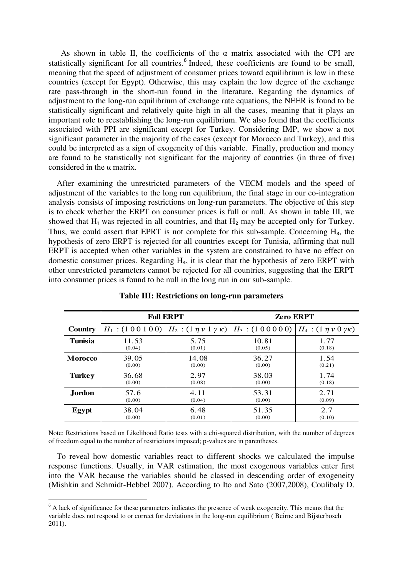As shown in table II, the coefficients of the  $\alpha$  matrix associated with the CPI are statistically significant for all countries.<sup>6</sup> Indeed, these coefficients are found to be small, meaning that the speed of adjustment of consumer prices toward equilibrium is low in these countries (except for Egypt). Otherwise, this may explain the low degree of the exchange rate pass-through in the short-run found in the literature. Regarding the dynamics of adjustment to the long-run equilibrium of exchange rate equations, the NEER is found to be statistically significant and relatively quite high in all the cases, meaning that it plays an important role to reestablishing the long-run equilibrium. We also found that the coefficients associated with PPI are significant except for Turkey. Considering IMP, we show a not significant parameter in the majority of the cases (except for Morocco and Turkey), and this could be interpreted as a sign of exogeneity of this variable. Finally, production and money are found to be statistically not significant for the majority of countries (in three of five) considered in the α matrix.

 After examining the unrestricted parameters of the VECM models and the speed of adjustment of the variables to the long run equilibrium, the final stage in our co-integration analysis consists of imposing restrictions on long-run parameters. The objective of this step is to check whether the ERPT on consumer prices is full or null. As shown in table III, we showed that  $H_1$  was rejected in all countries, and that  $H_2$  may be accepted only for Turkey. Thus, we could assert that EPRT is not complete for this sub-sample. Concerning  $H_3$ , the hypothesis of zero ERPT is rejected for all countries except for Tunisia, affirming that null ERPT is accepted when other variables in the system are constrained to have no effect on domestic consumer prices. Regarding  $H_a$ , it is clear that the hypothesis of zero ERPT with other unrestricted parameters cannot be rejected for all countries, suggesting that the ERPT into consumer prices is found to be null in the long run in our sub-sample.

|                |                  | <b>Full ERPT</b> | <b>Zero ERPT</b>                                             |                                      |  |
|----------------|------------------|------------------|--------------------------------------------------------------|--------------------------------------|--|
| Country        | $H_1$ : (100100) |                  | $H_2$ : $(1 \eta v 1 \gamma \kappa)$ $H_3$ : $(1 0 0 0 0 0)$ | $H_4$ : $(1 \eta v 0 \gamma \kappa)$ |  |
| <b>Tunisia</b> | 11.53            | 5.75             | 10.81                                                        | 1.77                                 |  |
|                | (0.04)           | (0.01)           | (0.05)                                                       | (0.18)                               |  |
| <b>Morocco</b> | 39.05            | 14.08            | 36.27                                                        | 1.54                                 |  |
|                | (0.00)           | (0.00)           | (0.00)                                                       | (0.21)                               |  |
| <b>Turkey</b>  | 36.68            | 2.97             | 38.03                                                        | 1.74                                 |  |
|                | (0.00)           | (0.08)           | (0.00)                                                       | (0.18)                               |  |
| Jordon         | 57.6             | 4.11             | 53.31                                                        | 2.71                                 |  |
|                | (0.00)           | (0.04)           | (0.00)                                                       | (0.09)                               |  |
| Egypt          | 38.04            | 6.48             | 51.35                                                        | 2.7                                  |  |
|                | (0.00)           | (0.01)           | (0.00)                                                       | (0.10)                               |  |

**Table III: Restrictions on long-run parameters**

Note: Restrictions based on Likelihood Ratio tests with a chi-squared distribution, with the number of degrees of freedom equal to the number of restrictions imposed; p-values are in parentheses.

 To reveal how domestic variables react to different shocks we calculated the impulse response functions. Usually, in VAR estimation, the most exogenous variables enter first into the VAR because the variables should be classed in descending order of exogeneity (Mishkin and Schmidt-Hebbel 2007). According to Ito and Sato (2007,2008), Coulibaly D.

<sup>&</sup>lt;sup>6</sup> A lack of significance for these parameters indicates the presence of weak exogeneity. This means that the variable does not respond to or correct for deviations in the long-run equilibrium ( Beirne and Bijsterbosch 2011).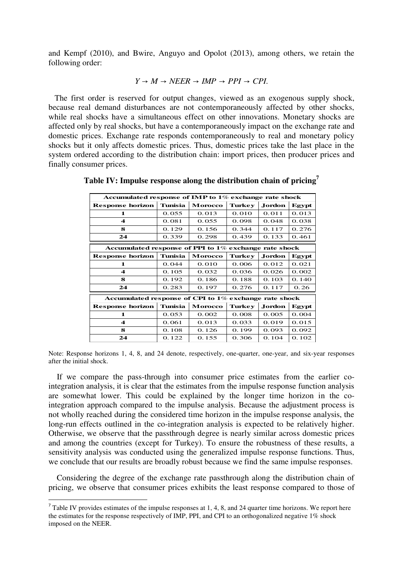and Kempf (2010), and Bwire, Anguyo and Opolot (2013), among others, we retain the following order:

$$
Y \to M \to NEER \to IMP \to PPI \to CPI.
$$

 The first order is reserved for output changes, viewed as an exogenous supply shock, because real demand disturbances are not contemporaneously affected by other shocks, while real shocks have a simultaneous effect on other innovations. Monetary shocks are affected only by real shocks, but have a contemporaneously impact on the exchange rate and domestic prices. Exchange rate responds contemporaneously to real and monetary policy shocks but it only affects domestic prices. Thus, domestic prices take the last place in the system ordered according to the distribution chain: import prices, then producer prices and finally consumer prices.

| Accumulated response of IMP to 1% exchange rate shock    |                |         |        |         |       |  |
|----------------------------------------------------------|----------------|---------|--------|---------|-------|--|
| <b>Response horizon</b>                                  | <b>Tunisia</b> | Morocco | Turkey | Jordon. | Egypt |  |
| 1                                                        | 0.055          | 0.013   | 0.010  | 0.011   | 0.013 |  |
| 4                                                        | 0.081          | 0.055   | 0.098  | 0.048   | 0.038 |  |
| 8                                                        | 0.129          | 0.156   | 0.344  | 0.117   | 0.276 |  |
| 24                                                       | 0.339          | 0.298   | 0.439  | 0.133   | 0.461 |  |
| Accumulated response of PPI to $1\%$ exchange rate shock |                |         |        |         |       |  |
| <b>Response horizon</b>                                  | Tunisia        | Morocco | Turkey | Jordon. | Egypt |  |
| 1                                                        | 0.044          | 0.010   | 0.006  | 0.012   | 0.021 |  |
| 4                                                        | 0.105          | 0.032   | 0.036  | 0.026   | 0.002 |  |
| 8                                                        | 0.192          | 0.186   | 0.188  | 0.103   | 0.140 |  |
| 24                                                       | 0.283          | 0.197   | 0.276  | 0.117   | 0.26  |  |
| Accumulated response of CPI to 1% exchange rate shock    |                |         |        |         |       |  |
| <b>Response horizon</b>                                  | Tunisia        | Morocco | Turkey | Jordon. | Egypt |  |
| $\mathbf 1$                                              | 0.053          | 0.002   | 0.008  | 0.005   | 0.004 |  |
| 4                                                        | 0.061          | 0.013   | 0.033  | 0.019   | 0.015 |  |
| 8                                                        | 0.108          | 0.126   | 0.199  | 0.093   | 0.092 |  |
| 24                                                       | 0.122          | 0.155   | 0.306  | 0.104   | 0.102 |  |

**Table IV: Impulse response along the distribution chain of pricing<sup>7</sup>**

Note: Response horizons 1, 4, 8, and 24 denote, respectively, one-quarter, one-year, and six-year responses after the initial shock.

 If we compare the pass-through into consumer price estimates from the earlier cointegration analysis, it is clear that the estimates from the impulse response function analysis are somewhat lower. This could be explained by the longer time horizon in the cointegration approach compared to the impulse analysis. Because the adjustment process is not wholly reached during the considered time horizon in the impulse response analysis, the long-run effects outlined in the co-integration analysis is expected to be relatively higher. Otherwise, we observe that the passthrough degree is nearly similar across domestic prices and among the countries (except for Turkey). To ensure the robustness of these results, a sensitivity analysis was conducted using the generalized impulse response functions. Thus, we conclude that our results are broadly robust because we find the same impulse responses.

 Considering the degree of the exchange rate passthrough along the distribution chain of pricing, we observe that consumer prices exhibits the least response compared to those of

 $7$  Table IV provides estimates of the impulse responses at 1, 4, 8, and 24 quarter time horizons. We report here the estimates for the response respectively of IMP, PPI, and CPI to an orthogonalized negative 1% shock imposed on the NEER.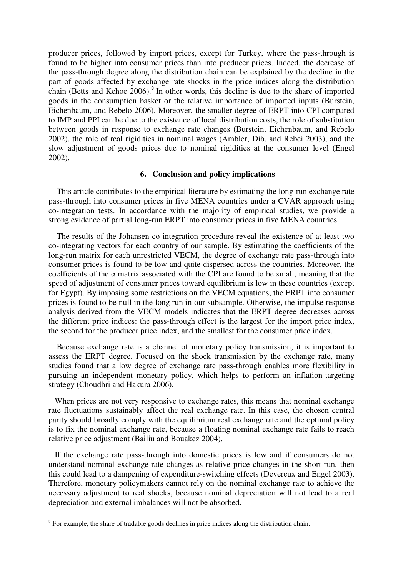producer prices, followed by import prices, except for Turkey, where the pass-through is found to be higher into consumer prices than into producer prices. Indeed, the decrease of the pass-through degree along the distribution chain can be explained by the decline in the part of goods affected by exchange rate shocks in the price indices along the distribution chain (Betts and Kehoe  $2006$ ).<sup>8</sup> In other words, this decline is due to the share of imported goods in the consumption basket or the relative importance of imported inputs (Burstein, Eichenbaum, and Rebelo 2006). Moreover, the smaller degree of ERPT into CPI compared to IMP and PPI can be due to the existence of local distribution costs, the role of substitution between goods in response to exchange rate changes (Burstein, Eichenbaum, and Rebelo 2002), the role of real rigidities in nominal wages (Ambler, Dib, and Rebei 2003), and the slow adjustment of goods prices due to nominal rigidities at the consumer level (Engel 2002).

#### **6. Conclusion and policy implications**

 This article contributes to the empirical literature by estimating the long-run exchange rate pass-through into consumer prices in five MENA countries under a CVAR approach using co-integration tests. In accordance with the majority of empirical studies, we provide a strong evidence of partial long-run ERPT into consumer prices in five MENA countries.

 The results of the Johansen co-integration procedure reveal the existence of at least two co-integrating vectors for each country of our sample. By estimating the coefficients of the long-run matrix for each unrestricted VECM, the degree of exchange rate pass-through into consumer prices is found to be low and quite dispersed across the countries. Moreover, the coefficients of the  $\alpha$  matrix associated with the CPI are found to be small, meaning that the speed of adjustment of consumer prices toward equilibrium is low in these countries (except for Egypt). By imposing some restrictions on the VECM equations, the ERPT into consumer prices is found to be null in the long run in our subsample. Otherwise, the impulse response analysis derived from the VECM models indicates that the ERPT degree decreases across the different price indices: the pass-through effect is the largest for the import price index, the second for the producer price index, and the smallest for the consumer price index.

 Because exchange rate is a channel of monetary policy transmission, it is important to assess the ERPT degree. Focused on the shock transmission by the exchange rate, many studies found that a low degree of exchange rate pass-through enables more flexibility in pursuing an independent monetary policy, which helps to perform an inflation-targeting strategy (Choudhri and Hakura 2006).

When prices are not very responsive to exchange rates, this means that nominal exchange rate fluctuations sustainably affect the real exchange rate. In this case, the chosen central parity should broadly comply with the equilibrium real exchange rate and the optimal policy is to fix the nominal exchange rate, because a floating nominal exchange rate fails to reach relative price adjustment (Bailiu and Bouakez 2004).

 If the exchange rate pass-through into domestic prices is low and if consumers do not understand nominal exchange-rate changes as relative price changes in the short run, then this could lead to a dampening of expenditure-switching effects (Devereux and Engel 2003). Therefore, monetary policymakers cannot rely on the nominal exchange rate to achieve the necessary adjustment to real shocks, because nominal depreciation will not lead to a real depreciation and external imbalances will not be absorbed.

 $8 \text{ For example, the share of tradable goods declines in price indices along the distribution chain.}$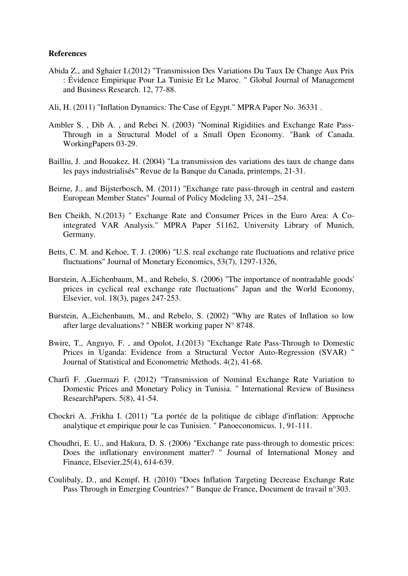### **References**

- Abida Z., and Sghaier I.(2012) "Transmission Des Variations Du Taux De Change Aux Prix : Évidence Empirique Pour La Tunisie Et Le Maroc. " Global Journal of Management and Business Research. 12, 77-88.
- Ali, H. (2011) "Inflation Dynamics: The Case of Egypt." MPRA Paper No. 36331 .
- Ambler S. , Dib A. , and Rebei N. (2003) "Nominal Rigidities and Exchange Rate Pass-Through in a Structural Model of a Small Open Economy. "Bank of Canada. WorkingPapers 03-29.
- Bailliu, J. ,and Bouakez, H. (2004) "La transmission des variations des taux de change dans les pays industrialisés" Revue de la Banque du Canada, printemps, 21-31.
- Beirne, J., and Bijsterbosch, M. (2011) "Exchange rate pass-through in central and eastern European Member States" Journal of Policy Modeling 33, 241--254.
- Ben Cheikh, N.(2013) " Exchange Rate and Consumer Prices in the Euro Area: A Cointegrated VAR Analysis." MPRA Paper 51162, University Library of Munich, Germany.
- Betts, C. M. and Kehoe, T. J. (2006) "U.S. real exchange rate fluctuations and relative price fluctuations" Journal of Monetary Economics, 53(7), 1297-1326,
- Burstein, A.,Eichenbaum, M., and Rebelo, S. (2006) "The importance of nontradable goods' prices in cyclical real exchange rate fluctuations" Japan and the World Economy, Elsevier, vol. 18(3), pages 247-253.
- Burstein, A.,Eichenbaum, M., and Rebelo, S. (2002) "Why are Rates of Inflation so low after large devaluations? " NBER working paper N° 8748.
- Bwire, T., Anguyo, F. , and Opolot, J.(2013) "Exchange Rate Pass-Through to Domestic Prices in Uganda: Evidence from a Structural Vector Auto-Regression (SVAR) " Journal of Statistical and Econometric Methods. 4(2), 41-68.
- Charfi F. ,Guermazi F. (2012) "Transmission of Nominal Exchange Rate Variation to Domestic Prices and Monetary Policy in Tunisia. " International Review of Business ResearchPapers. 5(8), 41-54.
- Chockri A. ,Frikha I. (2011) "La portée de la politique de ciblage d'inflation: Approche analytique et empirique pour le cas Tunisien. " Panoeconomicus. 1, 91-111.
- Choudhri, E. U., and Hakura, D. S. (2006) "Exchange rate pass-through to domestic prices: Does the inflationary environment matter? " Journal of International Money and Finance, Elsevier,25(4), 614-639.
- Coulibaly, D., and Kempf, H. (2010) "Does Inflation Targeting Decrease Exchange Rate Pass Through in Emerging Countries? " Banque de France, Document de travail n°303.